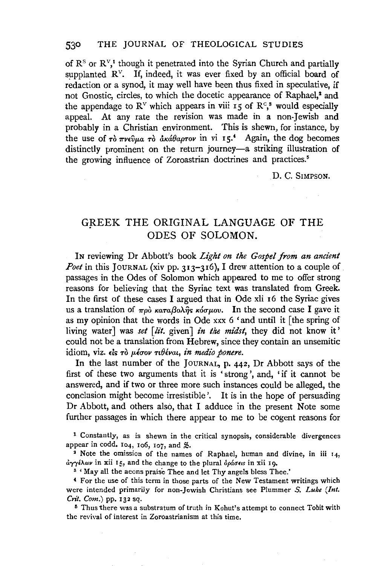of  $\mathbb{R}^s$  or  $\mathbb{R}^v$ , though it penetrated into the Syrian Church and partially supplanted  $R^v$ . If, indeed, it was ever fixed by an official board of redaction or a synod, it may well have been thus fixed in speculative, if not Gnostic, circles, to which the docetic appearance of Raphael.<sup>2</sup> and the appendage to  $\mathbb{R}^V$  which appears in viii 15 of  $\mathbb{R}^c$ ,<sup>3</sup> would especially appeal. At any rate the revision was made in a non-Jewish and probably in a Christian environment. This is shewn, for instance, by the use of  $\tau$   $\delta$   $\pi$ v $\epsilon$  $\psi$  $\mu$  $\alpha$   $\tau$  $\delta$   $\alpha$  $\kappa$  $d$  $\theta$  $a$  $\sigma$  $\tau$  $\nu$  in vi 15.<sup>4</sup> Again, the dog becomes distinctly prominent on the return journey-a striking illustration of the growing influence of Zoroastrian doctrines and practices.<sup>5</sup>

D. C. SIMPSON.

# GREEK THE ORIGINAL LANGUAGE OF THE ODES OF SOLOMON.

IN reviewing Dr Abbott's book *Ligkt on tke Gospel from an ancient Poet* in this JOURNAL (xiv pp. 313-316), I drew attention to a couple of passages in the Odes of Solomon which appeared to me to offer strong reasons for believing that the Syriac text was translated from Greek. In the first of these cases I argued that in Ode xli 16 the Syriac gives us a translation of  $\pi \rho \delta$   $\kappa \alpha \pi \alpha \beta \delta \lambda \hat{\eta} s$   $\kappa \delta \sigma \mu \delta v$ . In the second case I gave it as my opinion that the words in Ode xxx 6 'and until it [the spring of living water] was *set* [*lit.* given] *in the midst*, they did not know it' could not be a translation from Hebrew, since they contain an unsemitic idiom, viz. els *rò*  $\mu$ éoov ribévai, in medio ponere.

In the last number of the JouRNAL, p. 442, Dr Abbott says of the first of these two arguments that it is 'strong', and, 'if it cannot be answered, and if two or three more such instances could be alleged, the conclusion might become irresistible'. It is in the hope of persuading Dr Abbott, and others also, that I adduce in the present Note some further passages in which there appear to me to be cogent reasons for

1 Constantly, as is shewn in the critical synopsis, considerable divergences appear in codd. 104, 106, 107, and  $\frac{8}{8}$ .

• Note the omission of the names of Raphael, human and divine, in iii 14,  $\frac{\partial \gamma \gamma}{\partial \omega}$  in xii 15, and the change to the plural  $\frac{\partial \rho}{\partial \sigma}$  in xii 19. 8 ' May all the acons praise Thee and let Thy angels bless Thee.'

**<sup>4</sup>**For the use of this term in those parts of the New Testament writings which were intended primarily for non-Jewish Christians see Plummer *S. Luke (Int. Crit. Com.*) pp. 132 sq. 5 Sq. 5 Thus there was a substratum of truth in Kohut's attempt to connect Tobit with

the revival of interest in Zoroastrianism at this time.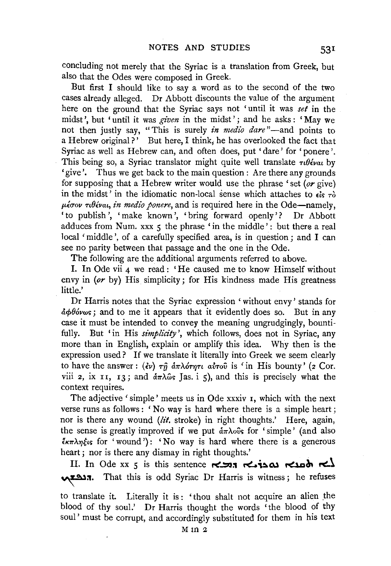concluding not merely that the Syriac is a translation from Greek, but also that the Odes were composed in Greek.

But first I should like to say a word as to the second of the two cases already alleged. Dr Abbott discounts the value of the argument here on the ground that the Syriac says not 'until it was *set* in the midst', but 'until it was *given* in the midst'; and he asks: 'May we not then justly say, "This is surely *in medio dare*"-and points to a Hebrew original?' But here, I think; he has overlooked the fact that Syriac as well as Hebrew can, and often does, put ' dare' for 'ponere '. This being so, a Syriac translator might quite well translate  $\tau \theta \acute{\epsilon}$ *vat* by 'give'. Thus we get back to the main question: Are there any grounds for supposing that a Hebrew writer would use the phrase 'set *(or* give) in the midst' in the idiomatic non-local sense which attaches to  $\epsilon$  *is*  $\tau$ *o*  $\mu\epsilon\sigma\sigma\nu\tau\theta\epsilon\nu\alpha\iota$ , *in medio ponere*, and is required here in the Ode—namely, 'to publish', 'make known', 'bring forward openly'? Dr Abbott adduces from Num. xxx  $\zeta$  the phrase 'in the middle': but there a real local 'middle', of a carefully specified area, is in question; and I can see no parity between that passage and the one in the Ode.

The following are the additional arguments referred to above.

I. In Ode vii 4 we read : 'He caused me to know Himself without envy in *(or* by) His simplicity; for His kindness made His greatness little.'

Dr Harris notes that the Syriac expression 'without envy' stands for  $\frac{\partial}{\partial \phi}$   $\frac{\partial}{\partial y}$  and to me it appears that it evidently does so. But in any case it must be intended to convey the meaning ungrudgingly, bountifully. But 'in His *simplicity',* which follows, does not in Syriac, any more than in English, explain or amplify this idea. Why then is the expression used? If we translate it literally into Greek we seem clearly to have the answer :  $(\partial v)$   $\tau \hat{\eta}$   $\delta \pi \lambda \delta \tau \eta \tau \hat{\mu}$  a $\delta \tau \hat{\nu}$  is 'in His bounty' (2 Cor. viii 2, ix 11, 13; and  $\delta \pi \lambda \hat{\omega}$ s Jas. i 5), and this is precisely what the context requires.

The adjective 'simple' meets us in Ode xxxiv r, which with the next verse runs as follows : ' No way is hard where there is a simple heart; nor is there any wound (lit. stroke) in right thoughts.' Here, again, the sense is greatly improved if we put  $\frac{\partial \pi}{\partial \theta}$  for 'simple' (and also  $\frac{2}{3}k\pi\lambda\eta\xi$ us for 'wound'): 'No way is hard where there is a generous heart; nor is there any dismay in right thoughts.'

II. In Ode xx 5 is this sentence **r<'...::::O:t** ~~Ql ~~ r<..~ הגבשא. That this is odd Syriac Dr Harris is witness; he refuses

to translate it. Literally it is : 'thou shalt not acquire an alien the blood of thy soul.' Dr Harris thought the words 'the blood of thy soul' must be corrupt, and accordingly substituted for them in his text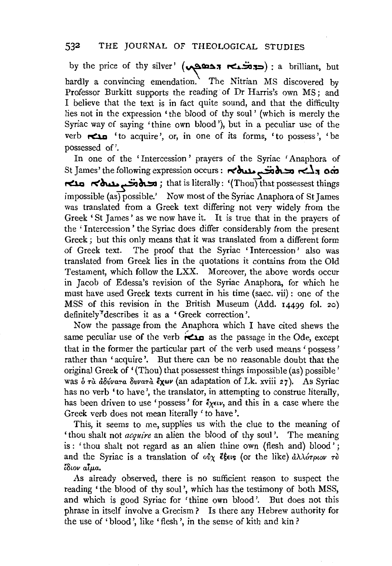by the price of thy silver' (حديثها ה  $($   $\sim$   $\sim$   $\sim$ ,  $\sim$ ) ; a brilliant, but hardly a convincing emendation. The Nitrian MS discovered by Professor Burkitt supports the reading of Dr Harris's own MS; and I believe that the text is in fact quite sound, and that the difficulty lies not in the expression 'the blood of thy soul ' (which is merely the Syriac way of saying 'thine own blood'), but in a peculiar use of the verb ~ 'to acquire', or, in one of its forms, 'to possess', 'be possessed of'.

In one of the 'Intercession ' prayers of the Syriac 'Anaphora of St James' the following expression occurs: مصالح بمعمومة المسلم بمعمومة المسلم بمعمومة ~ r<~~~; that is literally: '(Thou) that possessest things impossible (as) possible.' Now most of the Syriac Anaphora of St James was translated from a Greek text differing not very widely from the Greek 'St James' as we now have it. It is true that in the prayers of the 'Intercession ' the Syriac does differ considerably from the present Greek; but this only means that it was translated from a different form of Greek text. The proof that the Syriac ' Intercession ' also was translated from Greek lies in the quotations it contains from the Old Testament, which follow the LXX. Moreover, the above words occur in Jacob of Edessa's revision of the Syriac Anaphora, for which he must have used Greek texts current in his time (saec. vii) : one of the MSS of this revision in the British Museum (Add. 14499 fol. 2o) definitely~describes it as a 'Greek correction'.

Now the passage from the Anaphora which I have cited shews the same peculiar use of the verb  $\epsilon$  as the passage in the Ode, except that in the former the particular part of the verb used means ' possess ' rather than 'acquire'. But there can be no reasonable doubt that the original Greek of '(Thou) that possessest things impossible (as) possible' was  $\delta \tau \dot{\alpha}$   $\dot{\alpha} \delta \dot{\nu} \dot{\alpha} \tau \dot{\alpha}$   $\delta \nu \dot{\alpha} \tau \dot{\alpha}$   $\delta \chi \omega \nu$  (an adaptation of Lk. xviii 27). As Syriac has no verb 'to have', the translator, in attempting to construe literally, has been driven to use 'possess' for  $\zeta_{\xi\epsilon\mu\nu}$ , and this in a case where the Greek verb does not mean literally' to have'.

This, it seems to me, supplies us with the clue to the meaning of 'thou shalt not *acquire* an alien the blood of thy soul'. The meaning is : 'thou shalt not regard as an alien thine own (flesh and) blood' ; and the Syriac is a translation of  $\partial x$   $\partial \xi \in S$  (or the like)  $\partial \lambda \partial \partial \eta \omega \partial \eta$  To *iSwv atp.a,* 

As already observed, there is no sufficient reason to suspect the reading 'the blood of thy soul', which has the testimony of both MSS, and which is good Syriac for 'thine own blood'. But does not this phrase in itself involve a Grecism? Is there any Hebrew authority for the use of 'blood', like 'flesh', in the sense of kith and kin?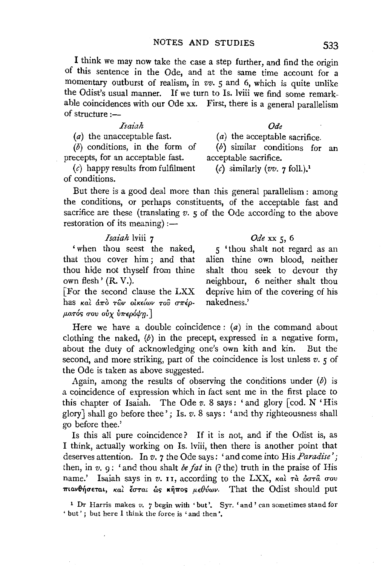I think we may now take the case a step further, and find the origin of this sentence in the Ode, and at the same time account for a momentary outburst of realism, in *vv.* 5 and 6, which is quite unlike the Odist's usual manner. If we turn to Is. lviii we find some remarkable coincidences with our Ode xx. First, there is a general parallelism of structure  $:$ 

#### *Isaiah*

(a) the unacceptable fast.

 $(b)$  conditions, in the form of precepts, for an acceptable fast.

 $(c)$  happy results from fulfilment of conditions.

But there is a good deal more than this general parallelism : among the conditions, or perhaps constituents, of the acceptable fast and sacrifice are these (translating *v*. *5* of the Ode according to the above restoration of its meaning) :-

### *Isaiah* lviii 7

' when thou seest the naked, that thou cover him ; and that thou hide not thyself from thine own flesh' (R. V.). [For the second clause the LXX

has και άπο των οικείων του σπέρ- $\mu$ ατός σου ούχ ύπερόψη.]

Here we have a double coincidence:  $(a)$  in the command about clothing the naked,  $(b)$  in the precept, expressed in a negative form, about the duty of acknowledging one's own kith and kin. But the second, and more striking, part of the coincidence is lost unless *v.* 5 of the Ode is taken as above suggested.

Again, among the results of observing the conditions under  $(b)$  is a coincidence of expression which in fact sent me in the first place to this chapter of Isaiah. The Ode *v.* 8 says: 'and glory [cod. N 'His glory] shall go before thee' ; Is. v. 8 says: 'and thy righteousness shall go before thee.'

Is this all pure coincidence? If it is not, and if the Odist is, as I think, actually working on Is. lviii, then there is another point that deserves attention. In *v.* 7 the Ode says: 'and come into His *Paradise';*  then, in *v.* 9: 'and thou shalt *be fat* in (?the) truth in the praise of His name.' Isaiah says in  $v$ . II, according to the LXX, *Kal Ta oov* πιανθήσεται, και έσται ως κήπος μεθύων. That the Odist should put

1 Dr Harris makes *v.* 7 begin with 'but'. Syr. 'and' can sometimes stand for ' but' ; but here I think the force is 'and then'.

*Ode* 

(a) the acceptable sacrifice.

(b) similar conditions for an acceptable sacrifice.

(c) similarly  $(vv, 7 \text{ folk})$ .<sup>1</sup>

## *Ode* xx 5, 6

5 ' thou shalt not regard as an alien thine own blood, neither shalt thou seek to devour thy neighbour, 6 neither shalt thou deprive him of the covering of his nakedness.'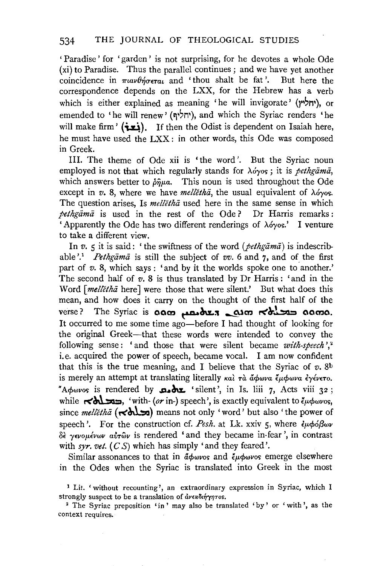' Paradise ' for 'garden ' is not surprising, for he devotes a whole Ode (xi) to Paradise. Thus the parallel continues; and we have yet another coincidence in  $\pi u \nu \theta \eta \sigma \epsilon \tau a \iota$  and 'thou shalt be fat'. But here the correspondence depends on the LXX, for the Hebrew has a verb which is either explained as meaning 'he will invigorate' (יחליץ), or emended to 'he will renew' (יחליף), and which the Syriac renders 'he will make firm' ( $(i=1)$ ). If then the Odist is dependent on Isaiah here, he must have used the LXX : in other words, this Ode was composed in Greek.

Ill. The theme of Ode xii is 'the word'. But the Syriac noun employed is not that which regularly stands for *A6yos* ; it is *pethgama,*  which answers better to  $\delta \hat{n} \mu a$ . This noun is used throughout the Ode except in  $v$ . 8, where we have *melletha*, the usual equivalent of  $\lambda$ óyos. The question arises, Is *melletha* used here in the same sense in which *pethgama* is used in the rest of the Ode ? Dr Harris remarks : 'Apparently the Ode has two different renderings of  $\lambda \acute{o}y$  os.' I venture to take a different view.

In *v*. *5* it is said: ' the swiftness of the word *(pethgama)* is indescribable'.<sup>1</sup> *Pethgama* is still the subject of *vv.* 6 and 7, and of the first part of  $v$ . 8, which says : 'and by it the worlds spoke one to another.' The second half of *v.* 8 is thus translated by Dr Harris : 'and in the Word [melletha here] were those that were silent.' But what does this mean, and how does it carry on the thought of the first half of the verse? The Syriac is **aam محدث معدد معدد معدد معدد الصحيح معدد** It occurred to me some time ago-before I had thought of looking for the original Greek-that these words were intended to convey the following sense: 'and those that were silent became *with-speech*',<sup>2</sup> i.e. acquired the power of speech, became vocal. I am now confident that this is the true meaning, and I believe that the Syriac of  $v$ . 8<sup>b</sup> is merely an attempt at translating literally *kai*  $\tau$ à đ $\phi$ *wva*  $\psi$ *i*  $\psi$ *i*  $\psi$ *i*  $\psi$ *cvcro.*  $A\phi$ wos is rendered by **AL** 'silent', in Is. liii 7, Acts viii 32; while  $\leq b$   $\leq$ , 'with- *(or* in-) speech', is exactly equivalent to  $\ell_{\mu\phi\omega\nu o s}$ , since *melletha* ( $\leq$ hl $\leq$ ) means not only 'word' but also 'the power of speech'. For the construction cf. Pesh. at Lk. xxiv ς, where  $\epsilon \mu \phi \delta \beta \omega \nu$ *8£ yevopi.vwv al!Twv* is rendered 'and they became in-fear ', in contrast with *syr. vet.*  $(C S)$  which has simply 'and they feared'.

Similar assonances to that in  $\phi_{\text{0}}$  and  $\phi_{\text{0}}$  and  $\phi_{\text{0}}$  and  $\phi_{\text{0}}$  are elsewhere in the Odes when the Syriac is translated into Greek in the most

<sup>1</sup>Lit. 'without recounting', an extraordinary expression in Syriac, which I strongly suspect to be a translation of  $\frac{d\psi}{dt}$  or  $\frac{d\psi}{dt}$ 

<sup>2</sup> The Syriac preposition 'in ' may also be translated 'by' or 'with', as the context requires.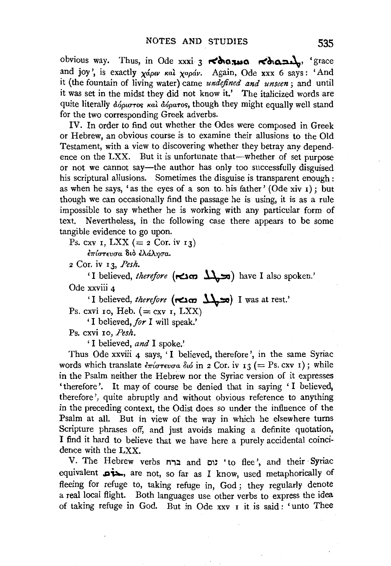obvious way. Thus, in Ode xxxi 3 t<c\\a~a t<~a.:1a\_\, 'grace and joy', is exactly  $\chi$ *ápu* kal  $\chi$ apáv. Again, Ode xxx 6 says: 'And it (the fountain of living water) came *undefined and unseen;* and until it was set in the midst they did not know it.' The italicized words are quite literally  $\phi_{0}$ <sub>0</sub> $\sigma_{0}$   $\kappa$   $\alpha$ *i*  $\phi_{0}$ <sub>0</sub> $\sigma_{0}$ , though they might equally well stand for the two corresponding Greek adverbs.

IV. In order to find out whether the Odes were composed in Greek or Hebrew, an obvious course is to examine their allusions to the Old Testament, with a view to discovering whether they betray any dependence on the LXX. But it is unfortunate that—whether of set purpose or not we cannot say-the author has only too successfully disguised his scriptural allusions. Sometimes the disguise is transparent enough : as when he says, 'as the eyes of a son to his father' (Ode xiv  $\mathbf{r}$ ); but though we can occasionally find the passage he is using, it is as a rule impossible to say whether he is working with any particular form of text. Nevertheless, in the following case there appears to be some tangible evidence to go upon.

Ps. cxv I, LXX (=  $2$  Cor. iv I3)

 $\epsilon$ πίστευσα διο ελάλησα.

2 Cor. iv 13, *Pesh.* 

'I believed, *therefore* **{f"''m** ~) have I also spoken.' Ode xxviii 4

'I believed, *therefore* (הכלב **f**  $\sum$  **h**) I was at rest.'

Ps. cxvi 10, Heb.  $( = cxy \, I, LXX)$ 

' I believed, *for* I will speak.'

Ps. cxvi xo, *Pesh.* 

' I believed, *and* I spoke.'

Thus Ode xxviii 4 says, 'I believed, therefore', in the same Syriac words which translate  $\epsilon \pi i \sigma \tau \epsilon v \sigma a$   $\delta \omega$  in 2 Cor. iv 13 (= Ps. cxv 1); while in the Psalm neither the Hebrew nor the Syriac version of it expresses 'therefore'. It may of course be denied that in saying 'I believed, therefore', quite abruptly and without obvious reference to anything in the preceding context, the Odist does so under the influence of the Psalm at all. But in view of the way in which he elsewhere turns Scripture phrases off, and just avoids making a definite quotation, I find it hard to believe that we have here a purely accidental coincidence with the LXX.

V. The Hebrew verbs **n.,:l** and 01~ 'to flee', and their Syriac equivalent , are not, so far as I know, used metaphorically of fleeing for refuge to, taking refuge in, God; they regularly denote a real local flight. Both languages use other verbs to express the idea of taking refuge in God. But in Ode xxv 1 it is said : ' unto Thee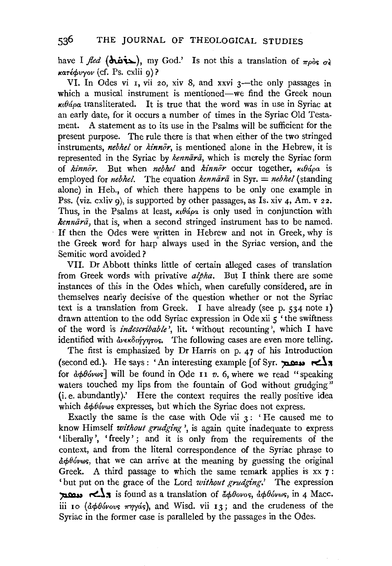have I *fled* ( $\overrightarrow{Area}$ ), my God.' Is not this a translation of  $\pi \rho \delta s$   $\sigma \epsilon$  $\kappa a \tau \epsilon \phi v \gamma \omega \text{ (cf. Ps. exlii 9)}$ ?

VI. In Odes vi I, vii 20, xiv 8, and xxvi 3—the only passages in which a musical instrument is mentioned—we find the Greek noun  $\kappa u \theta$ ápa transliterated. It is true that the word was in use in Syriac at an early date, for it occurs a number of times in the Syriac Old Testament. A statement as to its use in the Psalms will be sufficient for the present purpose. The rule there is that when either of the two stringed instruments, *nebhel* or *kinnor,* is mentioned alone in the Hebrew, it is represented in the Syriac by *kennara*, which is merely the Syriac form of *kinnor*. But when *nebhel* and *kinnor* occur together, κιθάρα is employed for *nebhel.* The equation *kennara* in Syr. = *nebhel* (standing alone) in Heb., of which there happens to be only one example in Pss. (viz. cxliv g), is supported by other passages, as Is. xiv 4, Am. v 22. Thus, in the Psalms at least,  $\kappa_1 \theta \acute{a} \rho \alpha$  is only used in conjunction with *kennārā*, that is, when a second stringed instrument has to be named. If then the Odes were written in Hebrew and not in Greek, why is the Greek word for harp' always used in the Syriac version, and the Semitic word avoided?

VII. Dr Abbott thinks little of certain alleged cases of translation from Greek words with privative *alpha.* But I think there are some instances of this in the Odes which, when carefully considered, are in themselves nearly decisive of the question whether or not the Syriac text is a translation from Greek. I have already (see p.  $534$  note r) drawn attention to the odd Syriac expression in Ode xii 5 'the swiftness of the word is *indescribable',* lit. 'without recounting', which I have identified with  $\frac{d}{dx}$   $\frac{d}{dx}$   $\frac{d}{dx}$  The following cases are even more telling.

The first is emphasized by Dr Harris on p. 47 of his Introduction (second ed.). He says : 'An interesting example [of Syr.  $\sum x$ for  $\frac{\partial \phi}{\partial w}$  will be found in Ode 11 v. 6, where we read "speaking waters touched my lips from the fountain of God without grudging" (i.e. abundantly).' Here the context requires the really positive idea which  $d\phi\theta$ óvws expresses, but which the Syriac does not express.

Exactly the same is the case with Ode vii  $3:$  'He caused me to know Himself *without grudging',* is again quite inadequate to express 'liberally', 'freely'; and it is only from the requirements of the context, and from the literal correspondence of the Syriac phrase to  $\frac{\partial \phi}{\partial w}$ , that we can arrive at the meaning by guessing the original Greek. A third passage to which the same remark applies is xx 7 : 'but put on the grace of the Lord *without grudging*.' The expression  $\sum$   $\sum$  is found as a translation of  $\phi\theta_{\text{ovos}}$ ,  $\phi\phi_{\text{ovos}}$ , in 4 Macc. iii 10 ( $d\phi\theta$ *b*vovs  $\pi\eta\gamma$ *ds*), and Wisd. vii 13; and the crudeness of the Syriac in the former case is paralleled by the passages in the Odes.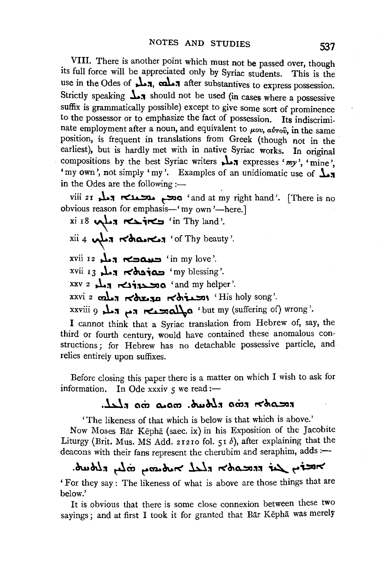VIII. There is another point which must not be passed over, though its full force will be appreciated only by Syriac students. This is the use in the Odes of **J.1.** cal...<sup>7</sup> after substantives to express possession. Strictly speaking  $\frac{1}{\sqrt{2}}$  should not be used (in cases where a possessive suffix is grammatically possible) except to give some sort of prominence to the possessor or to emphasize the fact of possession. Its indiscriminate employment after a noun, and equivalent to  $\mu_{0}$ ,  $\alpha \nu_{\text{TO}}$ , in the same position, is frequent in translations from Greek (though not in the earliest), but is hardly met with in native Syriac works. In original compositions by the best Syriac writers **.l.**: expresses 'my', 'mine', 'my own', not simply 'my'. Examples of an unidiomatic use of  $\mathbf{L}_\mathbf{a}$ in the Odes are the following :-

viii 2 r **.!.a:t** ~ ~a 'and at ~y right hand '. (There is no obvious reason for emphasis-' my own '-here.]

xi r8 **"\L:t** ~;roC~ 'in Thy land'.

 $xii$  4  $\cdots$   $\cdots$   $\cdots$   $\cdots$   $\cdots$ 

xvii 12 **,.\...;t f'C:IQ.a.a.:2** 'in my love'.

xvii 13 **J...** הלא היא streams'.

xxv 2 **J...** ~**xxiz>> 0** 'and my helper'.

xxvi 2 cal.7 Korso Kotimon 'His holy song'.

xxviii 9 **J..:t** ~:t ~~a 'but my (suffering of) wrong'.

I cannot think that a Syriac translation from Hebrew of, say, the third or fourth century, would have contained these anomalous constructions ; for Hebrew has no detachable possessive particle, and relies entirely upon suffixes.

Before closing this paper there is a matter on which I wish to ask for information. In Ode xxxiv  $5$  we read :-

## **.W:t am a..aca** .~~:t **am:t** r<~a..:::rJ:t

'The likeness of that which is below is that which is above.'

Now Moses Bar Kepha (saec. ix) in his Exposition of the Jacobite Liturgy (Brit. Mus. MS Add. 21210 fol. 51 b), after explaining that the deacons with their fans represent the cherubim and seraphim, adds :-

# .~~~;:, ~m ~~~r< **hl:t** r<~a..:::rJ:t:t ~ ~;.:,ar<

'For they say : The likeness of what is above are those things that are below.'

It is obvious that there is some close connexion between these two sayings; and at first I took it for granted that Bar Kepha was merely